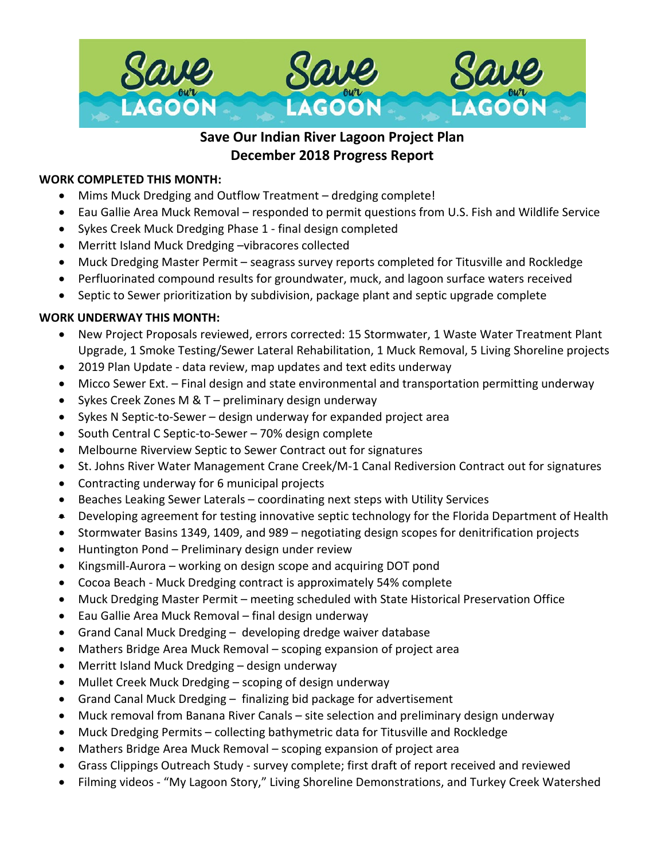

# **Save Our Indian River Lagoon Project Plan December 2018 Progress Report**

## **WORK COMPLETED THIS MONTH:**

- Mims Muck Dredging and Outflow Treatment dredging complete!
- Eau Gallie Area Muck Removal responded to permit questions from U.S. Fish and Wildlife Service
- Sykes Creek Muck Dredging Phase 1 final design completed
- Merritt Island Muck Dredging –vibracores collected
- Muck Dredging Master Permit seagrass survey reports completed for Titusville and Rockledge
- Perfluorinated compound results for groundwater, muck, and lagoon surface waters received
- Septic to Sewer prioritization by subdivision, package plant and septic upgrade complete

#### **WORK UNDERWAY THIS MONTH:**

- New Project Proposals reviewed, errors corrected: 15 Stormwater, 1 Waste Water Treatment Plant Upgrade, 1 Smoke Testing/Sewer Lateral Rehabilitation, 1 Muck Removal, 5 Living Shoreline projects
- 2019 Plan Update data review, map updates and text edits underway
- Micco Sewer Ext. Final design and state environmental and transportation permitting underway
- Sykes Creek Zones M & T preliminary design underway
- Sykes N Septic-to-Sewer design underway for expanded project area
- South Central C Septic-to-Sewer 70% design complete
- Melbourne Riverview Septic to Sewer Contract out for signatures
- St. Johns River Water Management Crane Creek/M-1 Canal Rediversion Contract out for signatures
- Contracting underway for 6 municipal projects
- Beaches Leaking Sewer Laterals coordinating next steps with Utility Services
- Developing agreement for testing innovative septic technology for the Florida Department of Health
- Stormwater Basins 1349, 1409, and 989 negotiating design scopes for denitrification projects
- Huntington Pond Preliminary design under review
- Kingsmill-Aurora working on design scope and acquiring DOT pond
- Cocoa Beach Muck Dredging contract is approximately 54% complete
- Muck Dredging Master Permit meeting scheduled with State Historical Preservation Office
- Eau Gallie Area Muck Removal final design underway
- Grand Canal Muck Dredging developing dredge waiver database
- Mathers Bridge Area Muck Removal scoping expansion of project area
- Merritt Island Muck Dredging design underway
- Mullet Creek Muck Dredging scoping of design underway
- Grand Canal Muck Dredging finalizing bid package for advertisement
- Muck removal from Banana River Canals site selection and preliminary design underway
- Muck Dredging Permits collecting bathymetric data for Titusville and Rockledge
- Mathers Bridge Area Muck Removal scoping expansion of project area
- Grass Clippings Outreach Study survey complete; first draft of report received and reviewed
- Filming videos "My Lagoon Story," Living Shoreline Demonstrations, and Turkey Creek Watershed